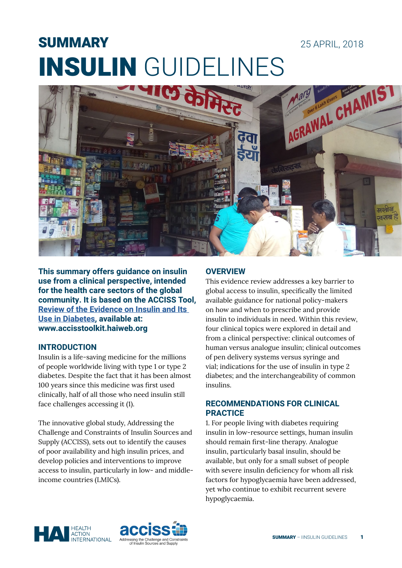# **SUMMARY**



**This summary offers guidance on insulin use from a clinical perspective, intended for the health care sectors of the global community. It is based on the ACCISS Tool, [Review of the Evidence on Insulin and Its](http://accisstoolkit.haiweb.org/page/selection/guidelines-for-insulin-use)  [Use in Diabetes,](http://accisstoolkit.haiweb.org/page/selection/guidelines-for-insulin-use) available at: www.accisstoolkit.haiweb.org**

### **INTRODUCTION**

Insulin is a life-saving medicine for the millions of people worldwide living with type 1 or type 2 diabetes. Despite the fact that it has been almost 100 years since this medicine was first used clinically, half of all those who need insulin still face challenges accessing it (1).

The innovative global study, Addressing the Challenge and Constraints of Insulin Sources and Supply (ACCISS), sets out to identify the causes of poor availability and high insulin prices, and develop policies and interventions to improve access to insulin, particularly in low- and middleincome countries (LMICs).

## **OVERVIEW**

This evidence review addresses a key barrier to global access to insulin, specifically the limited available guidance for national policy-makers on how and when to prescribe and provide insulin to individuals in need. Within this review, four clinical topics were explored in detail and from a clinical perspective: clinical outcomes of human versus analogue insulin; clinical outcomes of pen delivery systems versus syringe and vial; indications for the use of insulin in type 2 diabetes; and the interchangeability of common insulins.

25 APRIL, 2018

#### **RECOMMENDATIONS FOR CLINICAL PRACTICE**

1. For people living with diabetes requiring insulin in low-resource settings, human insulin should remain first-line therapy. Analogue insulin, particularly basal insulin, should be available, but only for a small subset of people with severe insulin deficiency for whom all risk factors for hypoglycaemia have been addressed, yet who continue to exhibit recurrent severe hypoglycaemia.